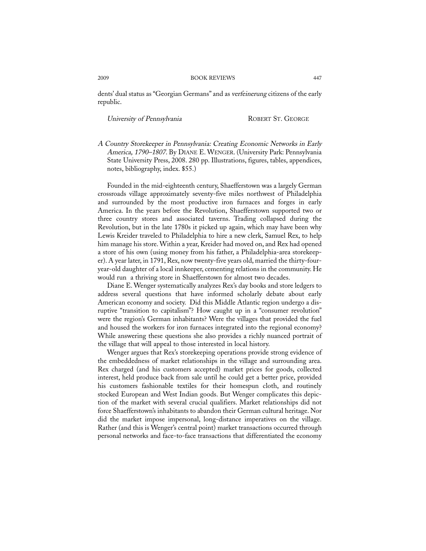## 2009 BOOK REVIEWS 447

dents' dual status as "Georgian Germans" and as verfeinerung citizens of the early republic.

University of Pennsylvania ROBERT ST. GEORGE

A Country Storekeeper in Pennsylvania: Creating Economic Networks in Early America, 1790–1807. By DIANE E. WENGER. (University Park: Pennsylvania State University Press, 2008. 280 pp. Illustrations, figures, tables, appendices, notes, bibliography, index. \$55.)

Founded in the mid-eighteenth century, Shaefferstown was a largely German crossroads village approximately seventy-five miles northwest of Philadelphia and surrounded by the most productive iron furnaces and forges in early America. In the years before the Revolution, Shaefferstown supported two or three country stores and associated taverns. Trading collapsed during the Revolution, but in the late 1780s it picked up again, which may have been why Lewis Kreider traveled to Philadelphia to hire a new clerk, Samuel Rex, to help him manage his store. Within a year, Kreider had moved on, and Rex had opened a store of his own (using money from his father, a Philadelphia-area storekeeper). A year later, in 1791, Rex, now twenty-five years old, married the thirty-fouryear-old daughter of a local innkeeper, cementing relations in the community. He would run a thriving store in Shaefferstown for almost two decades.

Diane E. Wenger systematically analyzes Rex's day books and store ledgers to address several questions that have informed scholarly debate about early American economy and society. Did this Middle Atlantic region undergo a disruptive "transition to capitalism"? How caught up in a "consumer revolution" were the region's German inhabitants? Were the villages that provided the fuel and housed the workers for iron furnaces integrated into the regional economy? While answering these questions she also provides a richly nuanced portrait of the village that will appeal to those interested in local history.

Wenger argues that Rex's storekeeping operations provide strong evidence of the embeddedness of market relationships in the village and surrounding area. Rex charged (and his customers accepted) market prices for goods, collected interest, held produce back from sale until he could get a better price, provided his customers fashionable textiles for their homespun cloth, and routinely stocked European and West Indian goods. But Wenger complicates this depiction of the market with several crucial qualifiers. Market relationships did not force Shaefferstown's inhabitants to abandon their German cultural heritage. Nor did the market impose impersonal, long-distance imperatives on the village. Rather (and this is Wenger's central point) market transactions occurred through personal networks and face-to-face transactions that differentiated the economy